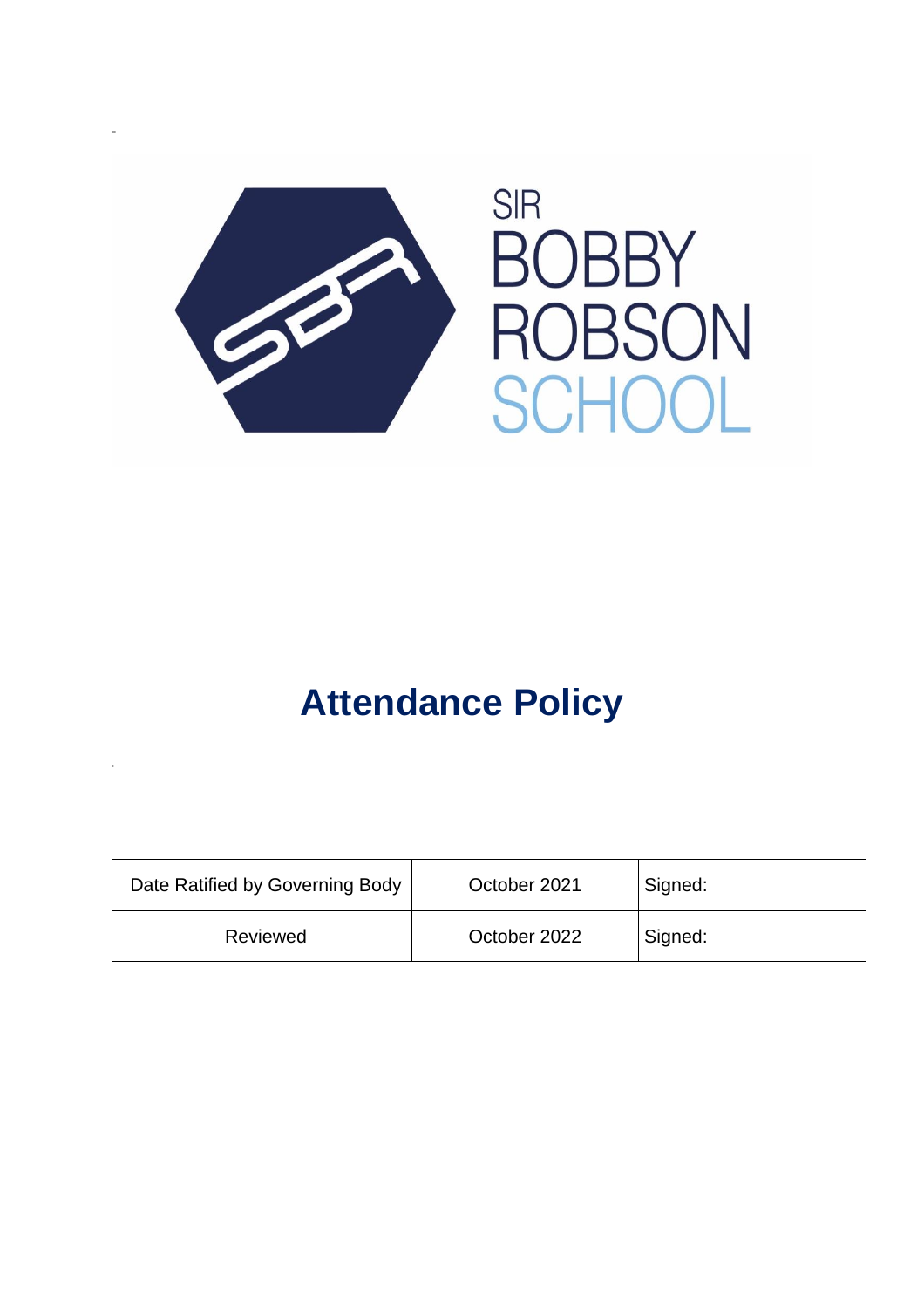

# **Attendance Policy**

| Date Ratified by Governing Body | October 2021 | Signed: |
|---------------------------------|--------------|---------|
| Reviewed                        | October 2022 | Signed: |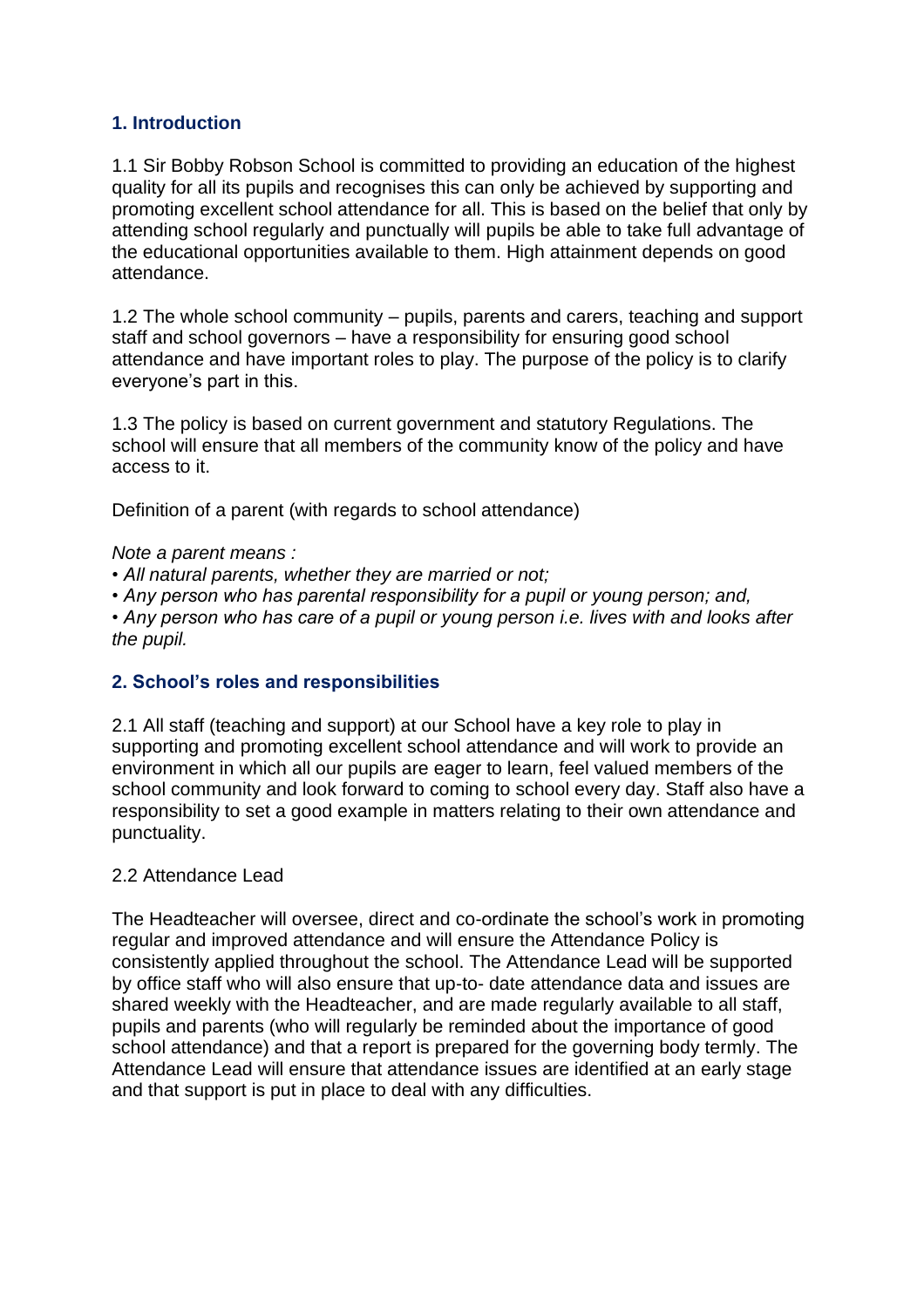# **1. Introduction**

1.1 Sir Bobby Robson School is committed to providing an education of the highest quality for all its pupils and recognises this can only be achieved by supporting and promoting excellent school attendance for all. This is based on the belief that only by attending school regularly and punctually will pupils be able to take full advantage of the educational opportunities available to them. High attainment depends on good attendance.

1.2 The whole school community – pupils, parents and carers, teaching and support staff and school governors – have a responsibility for ensuring good school attendance and have important roles to play. The purpose of the policy is to clarify everyone's part in this.

1.3 The policy is based on current government and statutory Regulations. The school will ensure that all members of the community know of the policy and have access to it.

Definition of a parent (with regards to school attendance)

*Note a parent means :*

*• All natural parents, whether they are married or not;*

*• Any person who has parental responsibility for a pupil or young person; and,*

*• Any person who has care of a pupil or young person i.e. lives with and looks after the pupil.* 

#### **2. School's roles and responsibilities**

2.1 All staff (teaching and support) at our School have a key role to play in supporting and promoting excellent school attendance and will work to provide an environment in which all our pupils are eager to learn, feel valued members of the school community and look forward to coming to school every day. Staff also have a responsibility to set a good example in matters relating to their own attendance and punctuality.

#### 2.2 Attendance Lead

The Headteacher will oversee, direct and co-ordinate the school's work in promoting regular and improved attendance and will ensure the Attendance Policy is consistently applied throughout the school. The Attendance Lead will be supported by office staff who will also ensure that up-to- date attendance data and issues are shared weekly with the Headteacher, and are made regularly available to all staff, pupils and parents (who will regularly be reminded about the importance of good school attendance) and that a report is prepared for the governing body termly. The Attendance Lead will ensure that attendance issues are identified at an early stage and that support is put in place to deal with any difficulties.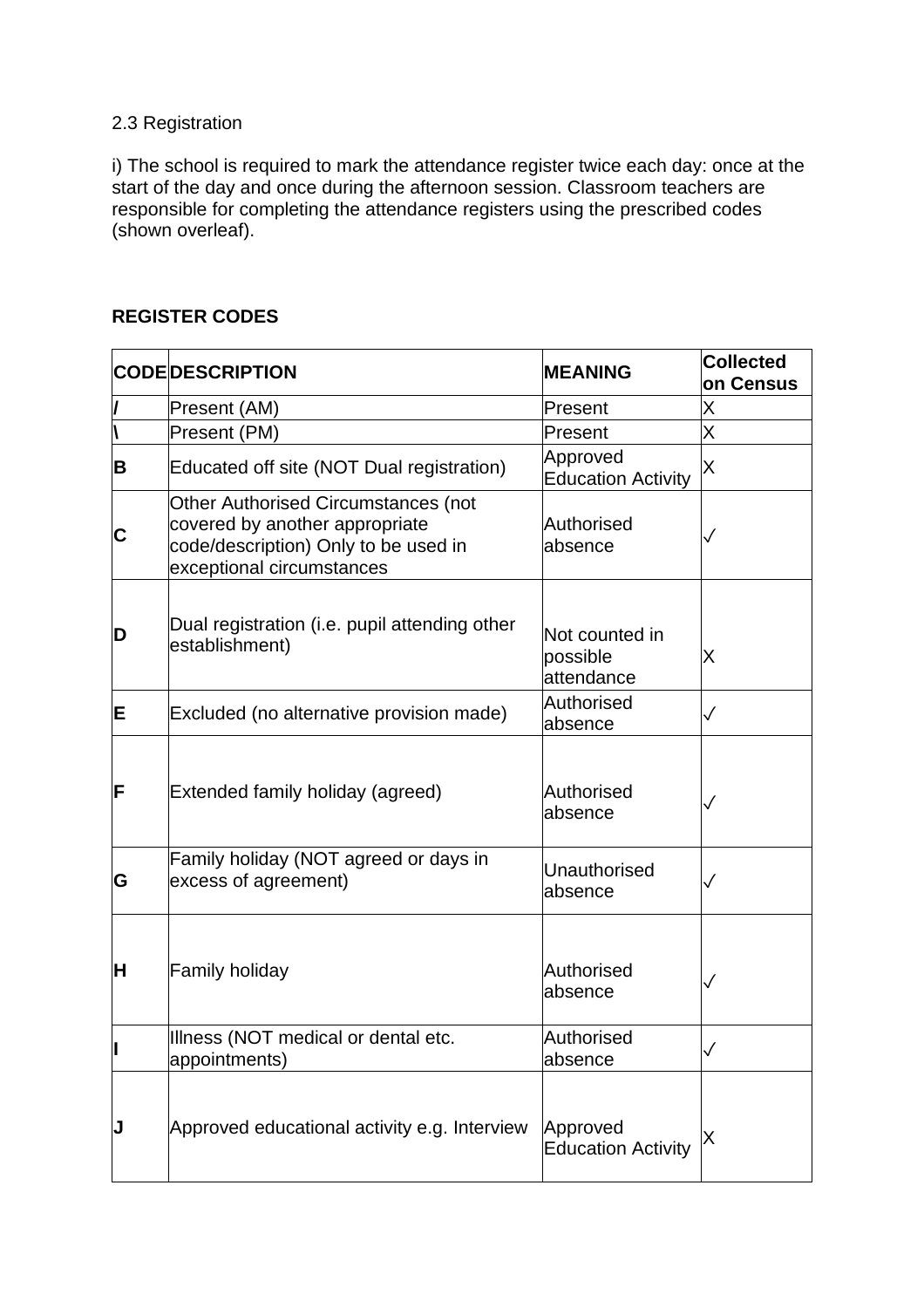# 2.3 Registration

i) The school is required to mark the attendance register twice each day: once at the start of the day and once during the afternoon session. Classroom teachers are responsible for completing the attendance registers using the prescribed codes (shown overleaf).

# **REGISTER CODES**

|   | <b>CODE DESCRIPTION</b>                                                                                                                           | <b>MEANING</b>                           | <b>Collected</b><br>on Census |
|---|---------------------------------------------------------------------------------------------------------------------------------------------------|------------------------------------------|-------------------------------|
|   | Present (AM)                                                                                                                                      | Present                                  | Χ                             |
|   | Present (PM)                                                                                                                                      | Present                                  | X                             |
| B | Educated off site (NOT Dual registration)                                                                                                         | Approved<br><b>Education Activity</b>    | X                             |
| C | <b>Other Authorised Circumstances (not</b><br>covered by another appropriate<br>code/description) Only to be used in<br>exceptional circumstances | Authorised<br>absence                    |                               |
| D | Dual registration (i.e. pupil attending other<br>establishment)                                                                                   | Not counted in<br>possible<br>attendance | Х                             |
| E | Excluded (no alternative provision made)                                                                                                          | Authorised<br>absence                    | $\checkmark$                  |
| F | Extended family holiday (agreed)                                                                                                                  | Authorised<br>absence                    | $\checkmark$                  |
| G | Family holiday (NOT agreed or days in<br>excess of agreement)                                                                                     | Unauthorised<br>labsence                 | $\checkmark$                  |
| H | <b>Family holiday</b>                                                                                                                             | Authorised<br>absence                    | $\checkmark$                  |
|   | Illness (NOT medical or dental etc.<br>appointments)                                                                                              | Authorised<br>absence                    |                               |
|   | Approved educational activity e.g. Interview                                                                                                      | Approved<br><b>Education Activity</b>    | Χ                             |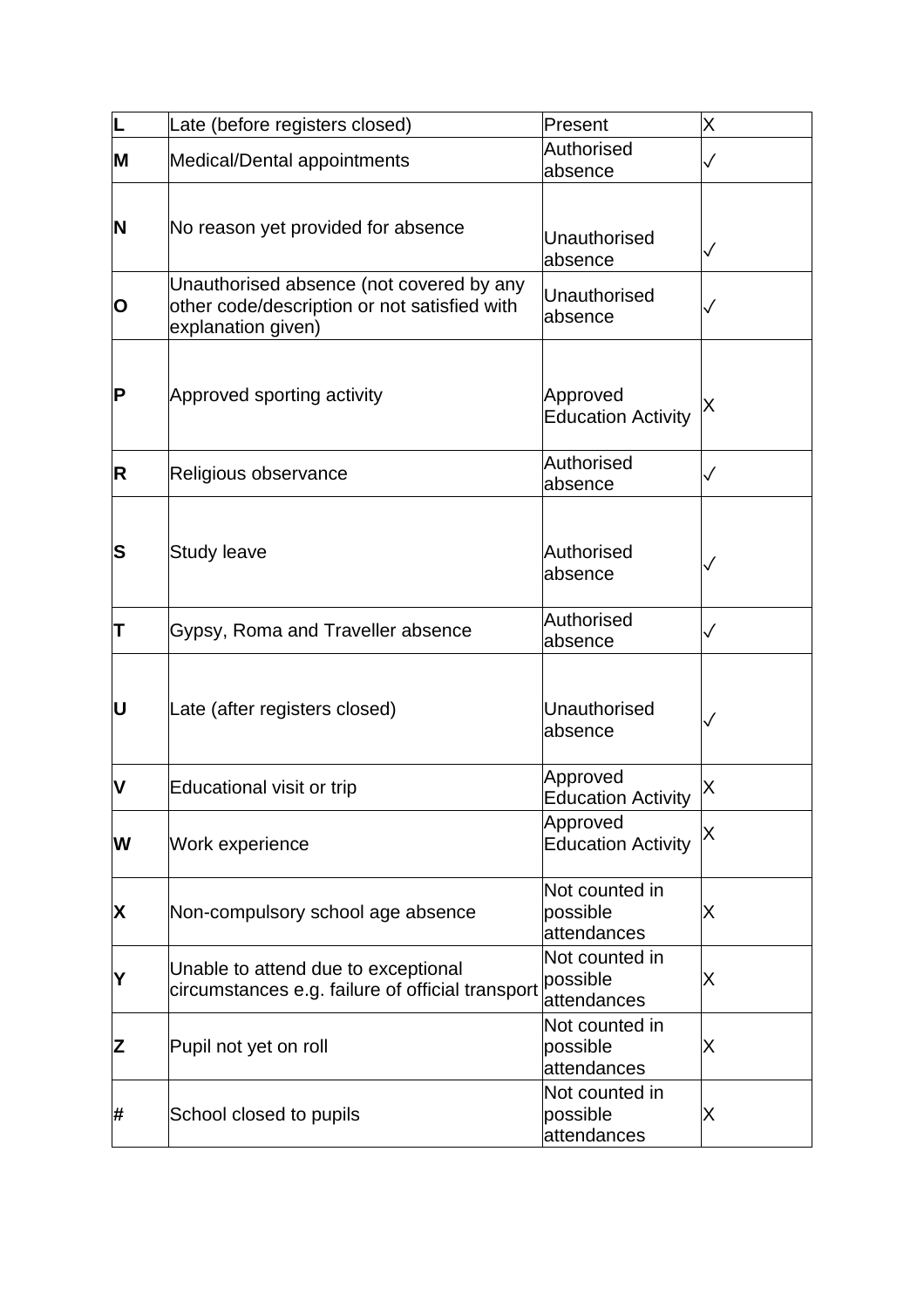| L | Late (before registers closed)                                                                                 | Present                                   | Χ            |
|---|----------------------------------------------------------------------------------------------------------------|-------------------------------------------|--------------|
| M | Medical/Dental appointments                                                                                    | Authorised<br>absence                     | $\checkmark$ |
| N | No reason yet provided for absence                                                                             | Unauthorised<br>absence                   | $\checkmark$ |
| O | Unauthorised absence (not covered by any<br>other code/description or not satisfied with<br>explanation given) | Unauthorised<br>absence                   | $\checkmark$ |
| P | Approved sporting activity                                                                                     | Approved<br><b>Education Activity</b>     | X            |
| R | Religious observance                                                                                           | Authorised<br>absence                     | $\checkmark$ |
| S | <b>Study leave</b>                                                                                             | Authorised<br>absence                     |              |
| Τ | Gypsy, Roma and Traveller absence                                                                              | Authorised<br>absence                     | $\checkmark$ |
| U | Late (after registers closed)                                                                                  | Unauthorised<br>absence                   | $\checkmark$ |
| V | Educational visit or trip                                                                                      | Approved<br><b>Education Activity</b>     | Χ            |
| W | Work experience                                                                                                | Approved<br><b>Education Activity</b>     | Χ            |
| Χ | Non-compulsory school age absence                                                                              | Not counted in<br>possible<br>attendances | Х            |
| Y | Unable to attend due to exceptional<br>circumstances e.g. failure of official transport                        | Not counted in<br>possible<br>attendances | Х            |
| Ζ | Pupil not yet on roll                                                                                          | Not counted in<br>possible<br>attendances | Х            |
| # | School closed to pupils                                                                                        | Not counted in<br>possible<br>attendances | Χ            |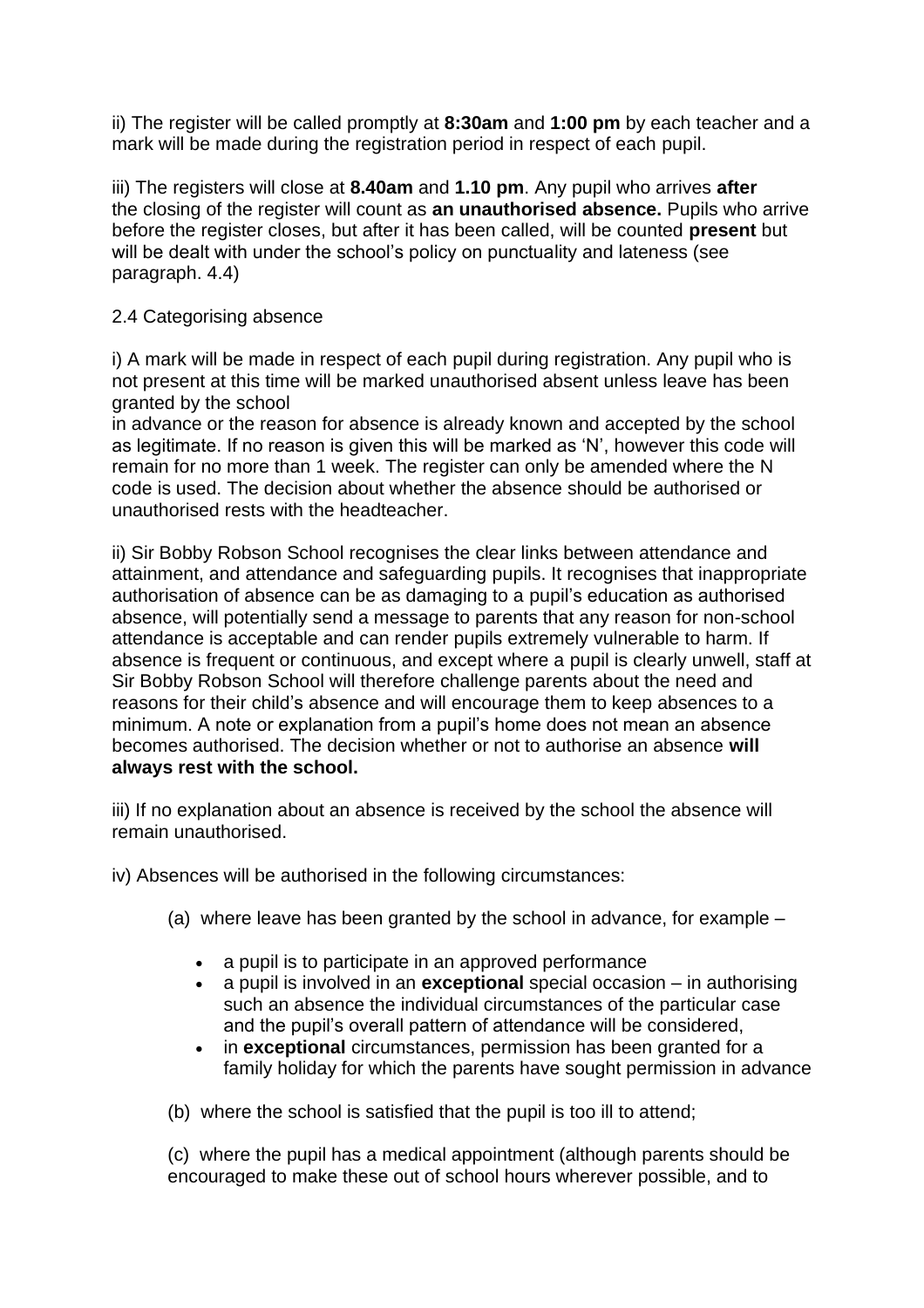ii) The register will be called promptly at **8:30am** and **1:00 pm** by each teacher and a mark will be made during the registration period in respect of each pupil.

iii) The registers will close at **8.40am** and **1.10 pm**. Any pupil who arrives **after** the closing of the register will count as **an unauthorised absence.** Pupils who arrive before the register closes, but after it has been called, will be counted **present** but will be dealt with under the school's policy on punctuality and lateness (see paragraph. 4.4)

#### 2.4 Categorising absence

i) A mark will be made in respect of each pupil during registration. Any pupil who is not present at this time will be marked unauthorised absent unless leave has been granted by the school

in advance or the reason for absence is already known and accepted by the school as legitimate. If no reason is given this will be marked as 'N', however this code will remain for no more than 1 week. The register can only be amended where the N code is used. The decision about whether the absence should be authorised or unauthorised rests with the headteacher.

ii) Sir Bobby Robson School recognises the clear links between attendance and attainment, and attendance and safeguarding pupils. It recognises that inappropriate authorisation of absence can be as damaging to a pupil's education as authorised absence, will potentially send a message to parents that any reason for non-school attendance is acceptable and can render pupils extremely vulnerable to harm. If absence is frequent or continuous, and except where a pupil is clearly unwell, staff at Sir Bobby Robson School will therefore challenge parents about the need and reasons for their child's absence and will encourage them to keep absences to a minimum. A note or explanation from a pupil's home does not mean an absence becomes authorised. The decision whether or not to authorise an absence **will always rest with the school.** 

iii) If no explanation about an absence is received by the school the absence will remain unauthorised.

iv) Absences will be authorised in the following circumstances:

(a) where leave has been granted by the school in advance, for example –

- a pupil is to participate in an approved performance
- a pupil is involved in an **exceptional** special occasion in authorising such an absence the individual circumstances of the particular case and the pupil's overall pattern of attendance will be considered,
- in **exceptional** circumstances, permission has been granted for a family holiday for which the parents have sought permission in advance

(b) where the school is satisfied that the pupil is too ill to attend;

(c) where the pupil has a medical appointment (although parents should be encouraged to make these out of school hours wherever possible, and to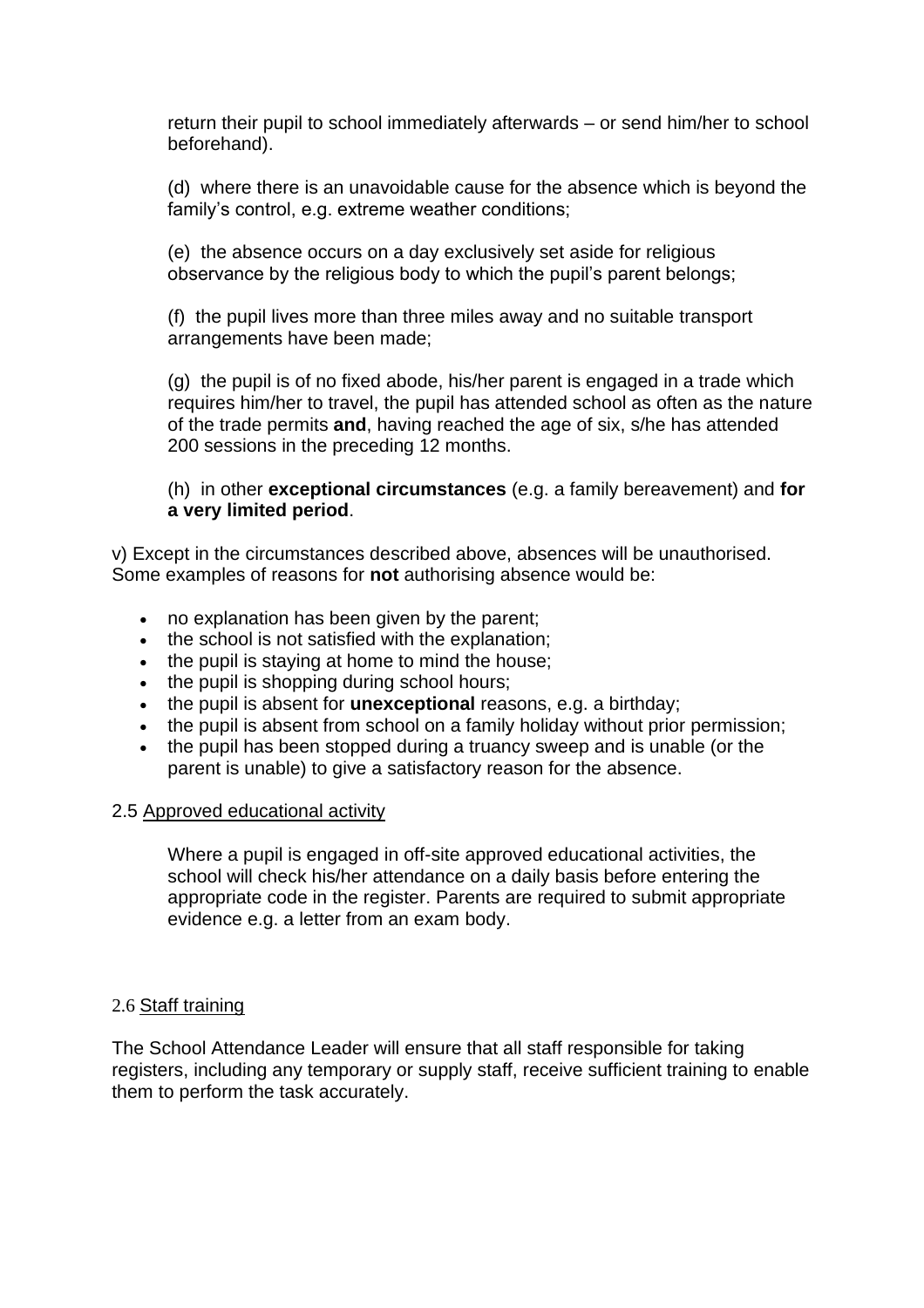return their pupil to school immediately afterwards – or send him/her to school beforehand).

(d) where there is an unavoidable cause for the absence which is beyond the family's control, e.g. extreme weather conditions;

(e) the absence occurs on a day exclusively set aside for religious observance by the religious body to which the pupil's parent belongs;

(f) the pupil lives more than three miles away and no suitable transport arrangements have been made;

(g) the pupil is of no fixed abode, his/her parent is engaged in a trade which requires him/her to travel, the pupil has attended school as often as the nature of the trade permits **and**, having reached the age of six, s/he has attended 200 sessions in the preceding 12 months.

(h) in other **exceptional circumstances** (e.g. a family bereavement) and **for a very limited period**.

v) Except in the circumstances described above, absences will be unauthorised. Some examples of reasons for **not** authorising absence would be:

- no explanation has been given by the parent;
- the school is not satisfied with the explanation;
- the pupil is staying at home to mind the house;
- the pupil is shopping during school hours;
- the pupil is absent for **unexceptional** reasons, e.g. a birthday;
- the pupil is absent from school on a family holiday without prior permission;
- the pupil has been stopped during a truancy sweep and is unable (or the parent is unable) to give a satisfactory reason for the absence.

#### 2.5 Approved educational activity

Where a pupil is engaged in off-site approved educational activities, the school will check his/her attendance on a daily basis before entering the appropriate code in the register. Parents are required to submit appropriate evidence e.g. a letter from an exam body.

#### 2.6 Staff training

The School Attendance Leader will ensure that all staff responsible for taking registers, including any temporary or supply staff, receive sufficient training to enable them to perform the task accurately.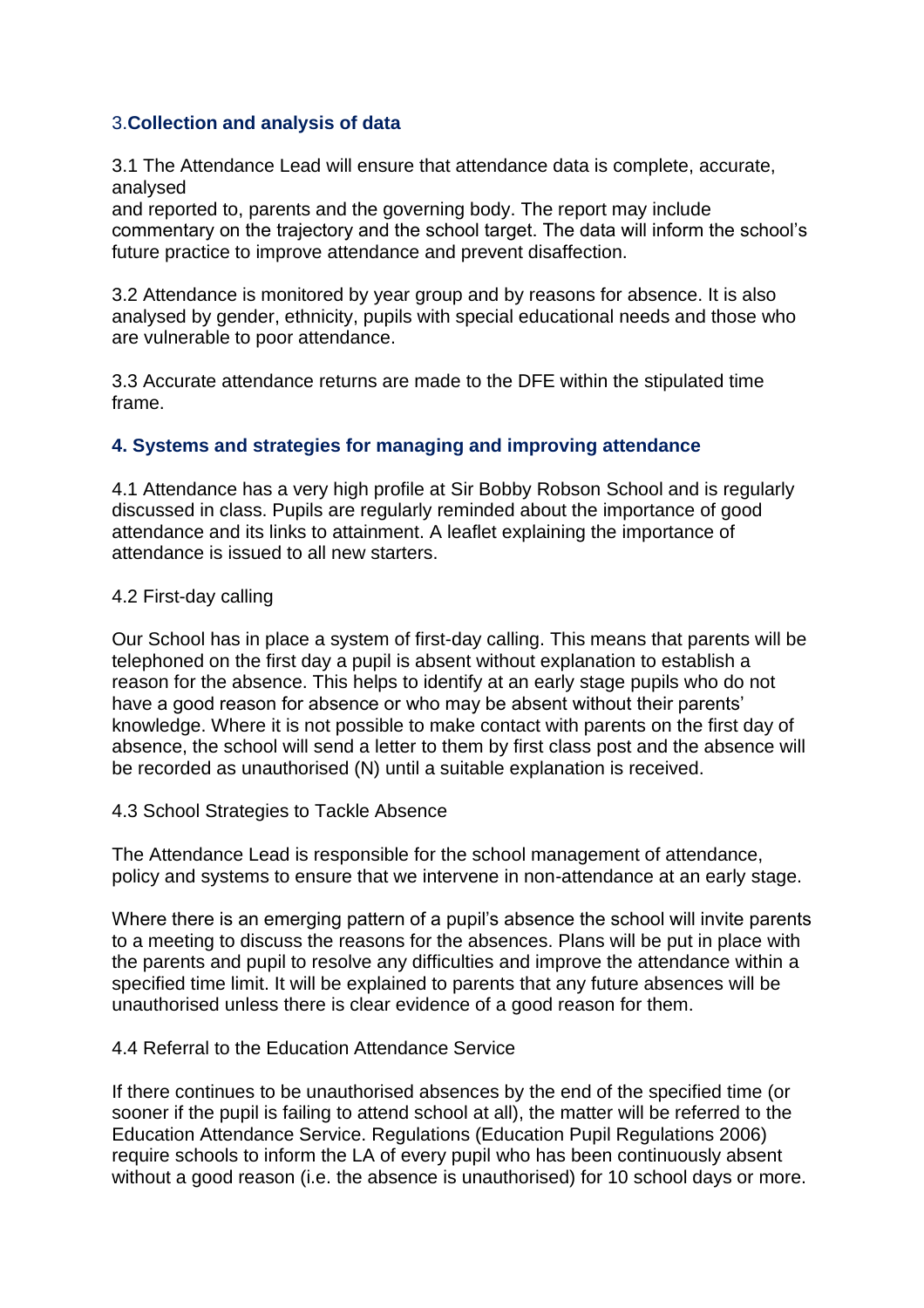## 3.**Collection and analysis of data**

3.1 The Attendance Lead will ensure that attendance data is complete, accurate, analysed

and reported to, parents and the governing body. The report may include commentary on the trajectory and the school target. The data will inform the school's future practice to improve attendance and prevent disaffection.

3.2 Attendance is monitored by year group and by reasons for absence. It is also analysed by gender, ethnicity, pupils with special educational needs and those who are vulnerable to poor attendance.

3.3 Accurate attendance returns are made to the DFE within the stipulated time frame.

## **4. Systems and strategies for managing and improving attendance**

4.1 Attendance has a very high profile at Sir Bobby Robson School and is regularly discussed in class. Pupils are regularly reminded about the importance of good attendance and its links to attainment. A leaflet explaining the importance of attendance is issued to all new starters.

#### 4.2 First-day calling

Our School has in place a system of first-day calling. This means that parents will be telephoned on the first day a pupil is absent without explanation to establish a reason for the absence. This helps to identify at an early stage pupils who do not have a good reason for absence or who may be absent without their parents' knowledge. Where it is not possible to make contact with parents on the first day of absence, the school will send a letter to them by first class post and the absence will be recorded as unauthorised (N) until a suitable explanation is received.

#### 4.3 School Strategies to Tackle Absence

The Attendance Lead is responsible for the school management of attendance, policy and systems to ensure that we intervene in non-attendance at an early stage.

Where there is an emerging pattern of a pupil's absence the school will invite parents to a meeting to discuss the reasons for the absences. Plans will be put in place with the parents and pupil to resolve any difficulties and improve the attendance within a specified time limit. It will be explained to parents that any future absences will be unauthorised unless there is clear evidence of a good reason for them.

#### 4.4 Referral to the Education Attendance Service

If there continues to be unauthorised absences by the end of the specified time (or sooner if the pupil is failing to attend school at all), the matter will be referred to the Education Attendance Service. Regulations (Education Pupil Regulations 2006) require schools to inform the LA of every pupil who has been continuously absent without a good reason (i.e. the absence is unauthorised) for 10 school days or more.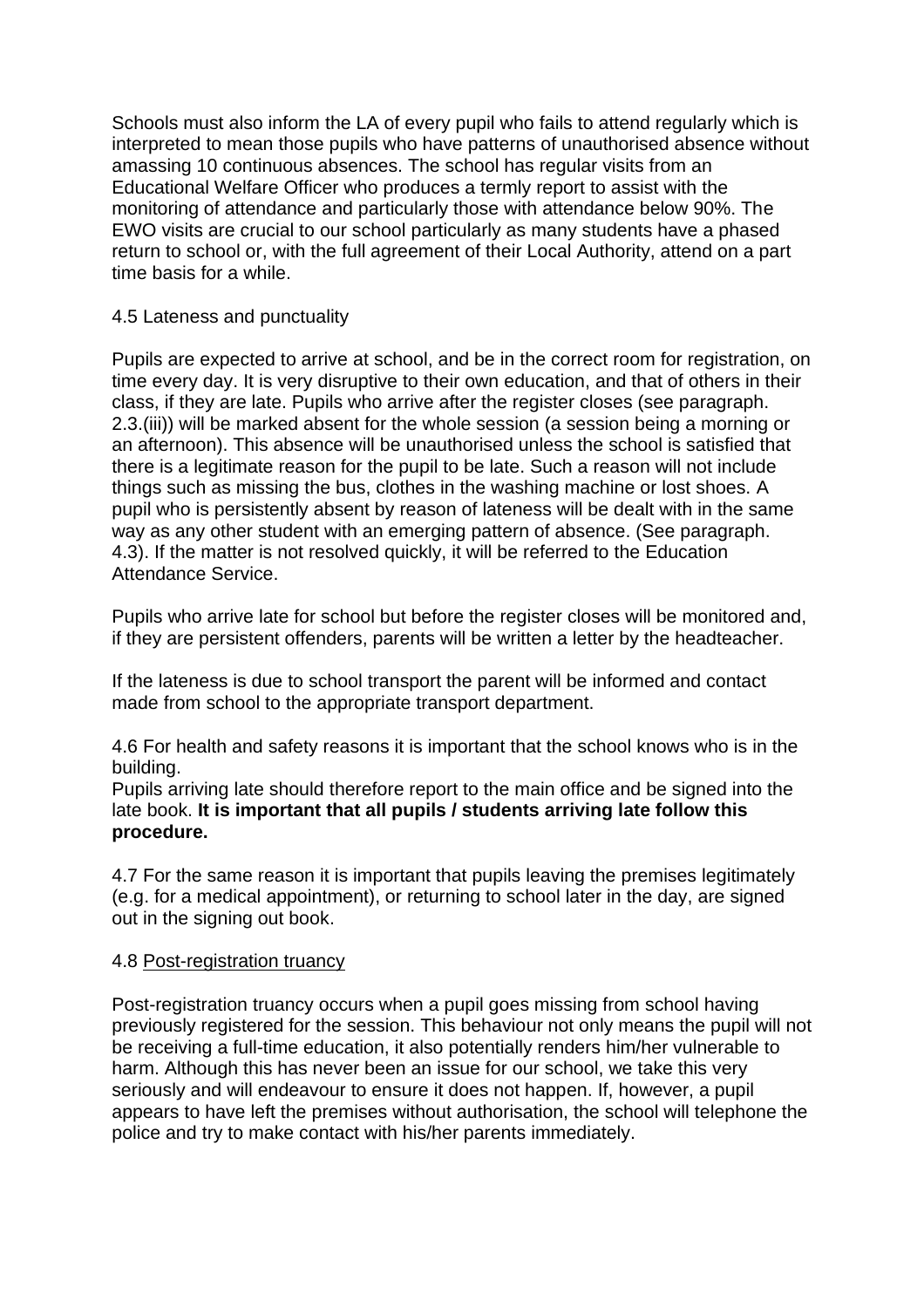Schools must also inform the LA of every pupil who fails to attend regularly which is interpreted to mean those pupils who have patterns of unauthorised absence without amassing 10 continuous absences. The school has regular visits from an Educational Welfare Officer who produces a termly report to assist with the monitoring of attendance and particularly those with attendance below 90%. The EWO visits are crucial to our school particularly as many students have a phased return to school or, with the full agreement of their Local Authority, attend on a part time basis for a while.

## 4.5 Lateness and punctuality

Pupils are expected to arrive at school, and be in the correct room for registration, on time every day. It is very disruptive to their own education, and that of others in their class, if they are late. Pupils who arrive after the register closes (see paragraph. 2.3.(iii)) will be marked absent for the whole session (a session being a morning or an afternoon). This absence will be unauthorised unless the school is satisfied that there is a legitimate reason for the pupil to be late. Such a reason will not include things such as missing the bus, clothes in the washing machine or lost shoes. A pupil who is persistently absent by reason of lateness will be dealt with in the same way as any other student with an emerging pattern of absence. (See paragraph. 4.3). If the matter is not resolved quickly, it will be referred to the Education Attendance Service.

Pupils who arrive late for school but before the register closes will be monitored and, if they are persistent offenders, parents will be written a letter by the headteacher.

If the lateness is due to school transport the parent will be informed and contact made from school to the appropriate transport department.

4.6 For health and safety reasons it is important that the school knows who is in the building.

Pupils arriving late should therefore report to the main office and be signed into the late book. **It is important that all pupils / students arriving late follow this procedure.** 

4.7 For the same reason it is important that pupils leaving the premises legitimately (e.g. for a medical appointment), or returning to school later in the day, are signed out in the signing out book.

#### 4.8 Post-registration truancy

Post-registration truancy occurs when a pupil goes missing from school having previously registered for the session. This behaviour not only means the pupil will not be receiving a full-time education, it also potentially renders him/her vulnerable to harm. Although this has never been an issue for our school, we take this very seriously and will endeavour to ensure it does not happen. If, however, a pupil appears to have left the premises without authorisation, the school will telephone the police and try to make contact with his/her parents immediately.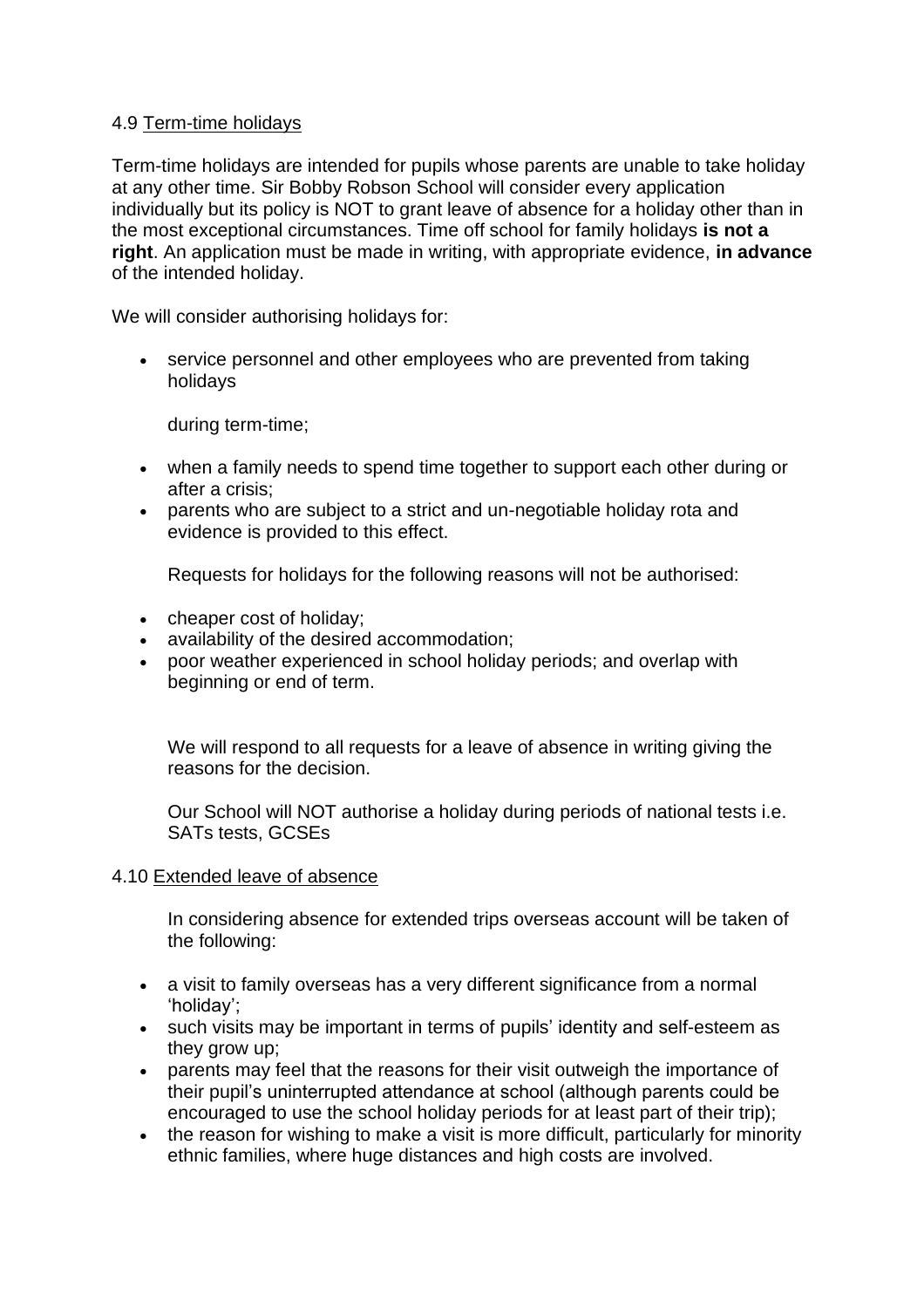## 4.9 Term-time holidays

Term-time holidays are intended for pupils whose parents are unable to take holiday at any other time. Sir Bobby Robson School will consider every application individually but its policy is NOT to grant leave of absence for a holiday other than in the most exceptional circumstances. Time off school for family holidays **is not a right**. An application must be made in writing, with appropriate evidence, **in advance**  of the intended holiday.

We will consider authorising holidays for:

• service personnel and other employees who are prevented from taking holidays

during term-time;

- when a family needs to spend time together to support each other during or after a crisis;
- parents who are subject to a strict and un-negotiable holiday rota and evidence is provided to this effect.

Requests for holidays for the following reasons will not be authorised:

- cheaper cost of holiday;
- availability of the desired accommodation;
- poor weather experienced in school holiday periods; and overlap with beginning or end of term.

We will respond to all requests for a leave of absence in writing giving the reasons for the decision.

Our School will NOT authorise a holiday during periods of national tests i.e. SATs tests, GCSEs

#### 4.10 Extended leave of absence

In considering absence for extended trips overseas account will be taken of the following:

- a visit to family overseas has a very different significance from a normal 'holiday';
- such visits may be important in terms of pupils' identity and self-esteem as they grow up;
- parents may feel that the reasons for their visit outweigh the importance of their pupil's uninterrupted attendance at school (although parents could be encouraged to use the school holiday periods for at least part of their trip);
- the reason for wishing to make a visit is more difficult, particularly for minority ethnic families, where huge distances and high costs are involved.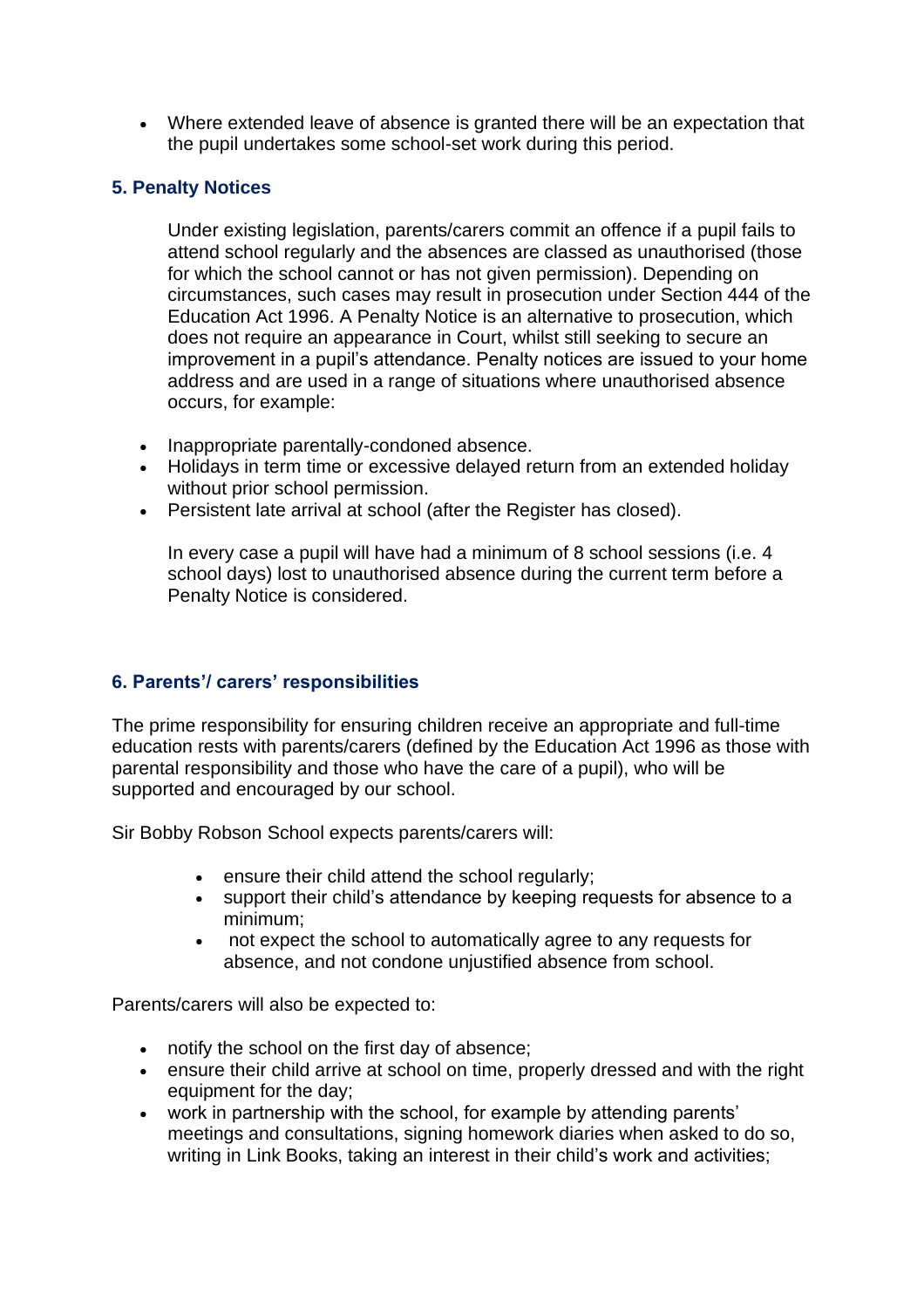• Where extended leave of absence is granted there will be an expectation that the pupil undertakes some school-set work during this period.

## **5. Penalty Notices**

Under existing legislation, parents/carers commit an offence if a pupil fails to attend school regularly and the absences are classed as unauthorised (those for which the school cannot or has not given permission). Depending on circumstances, such cases may result in prosecution under Section 444 of the Education Act 1996. A Penalty Notice is an alternative to prosecution, which does not require an appearance in Court, whilst still seeking to secure an improvement in a pupil's attendance. Penalty notices are issued to your home address and are used in a range of situations where unauthorised absence occurs, for example:

- Inappropriate parentally-condoned absence.
- Holidays in term time or excessive delayed return from an extended holiday without prior school permission.
- Persistent late arrival at school (after the Register has closed).

In every case a pupil will have had a minimum of 8 school sessions (i.e. 4 school days) lost to unauthorised absence during the current term before a Penalty Notice is considered.

# **6. Parents'/ carers' responsibilities**

The prime responsibility for ensuring children receive an appropriate and full-time education rests with parents/carers (defined by the Education Act 1996 as those with parental responsibility and those who have the care of a pupil), who will be supported and encouraged by our school.

Sir Bobby Robson School expects parents/carers will:

- ensure their child attend the school regularly;
- support their child's attendance by keeping requests for absence to a minimum;
- not expect the school to automatically agree to any requests for absence, and not condone unjustified absence from school.

Parents/carers will also be expected to:

- notify the school on the first day of absence;
- ensure their child arrive at school on time, properly dressed and with the right equipment for the day;
- work in partnership with the school, for example by attending parents' meetings and consultations, signing homework diaries when asked to do so, writing in Link Books, taking an interest in their child's work and activities;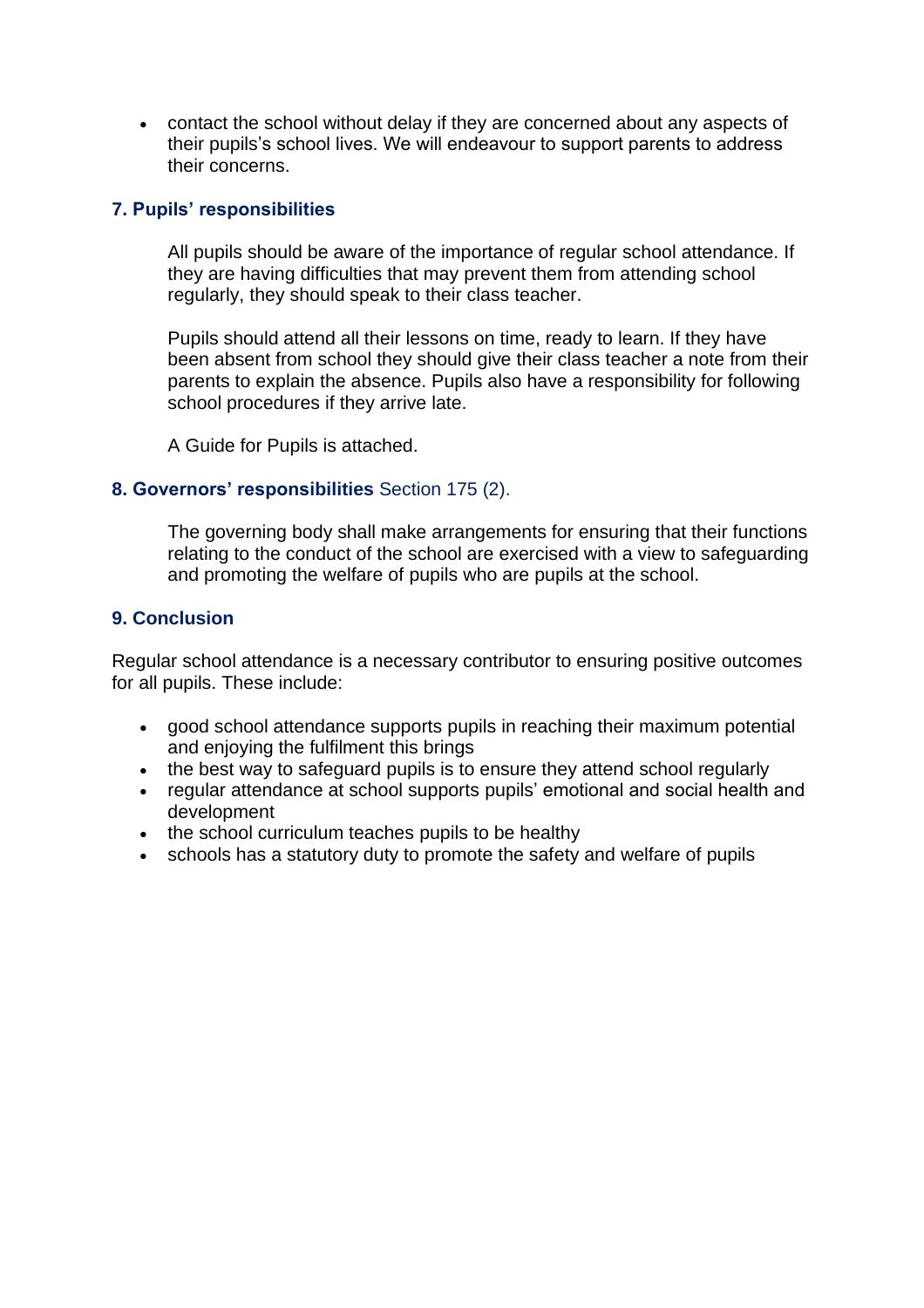• contact the school without delay if they are concerned about any aspects of their pupils's school lives. We will endeavour to support parents to address their concerns.

#### **7. Pupils' responsibilities**

All pupils should be aware of the importance of regular school attendance. If they are having difficulties that may prevent them from attending school regularly, they should speak to their class teacher.

Pupils should attend all their lessons on time, ready to learn. If they have been absent from school they should give their class teacher a note from their parents to explain the absence. Pupils also have a responsibility for following school procedures if they arrive late.

A Guide for Pupils is attached.

## **8. Governors' responsibilities** Section 175 (2).

The governing body shall make arrangements for ensuring that their functions relating to the conduct of the school are exercised with a view to safeguarding and promoting the welfare of pupils who are pupils at the school.

#### **9. Conclusion**

Regular school attendance is a necessary contributor to ensuring positive outcomes for all pupils. These include:

- good school attendance supports pupils in reaching their maximum potential and enjoying the fulfilment this brings
- the best way to safeguard pupils is to ensure they attend school regularly
- regular attendance at school supports pupils' emotional and social health and development
- the school curriculum teaches pupils to be healthy
- schools has a statutory duty to promote the safety and welfare of pupils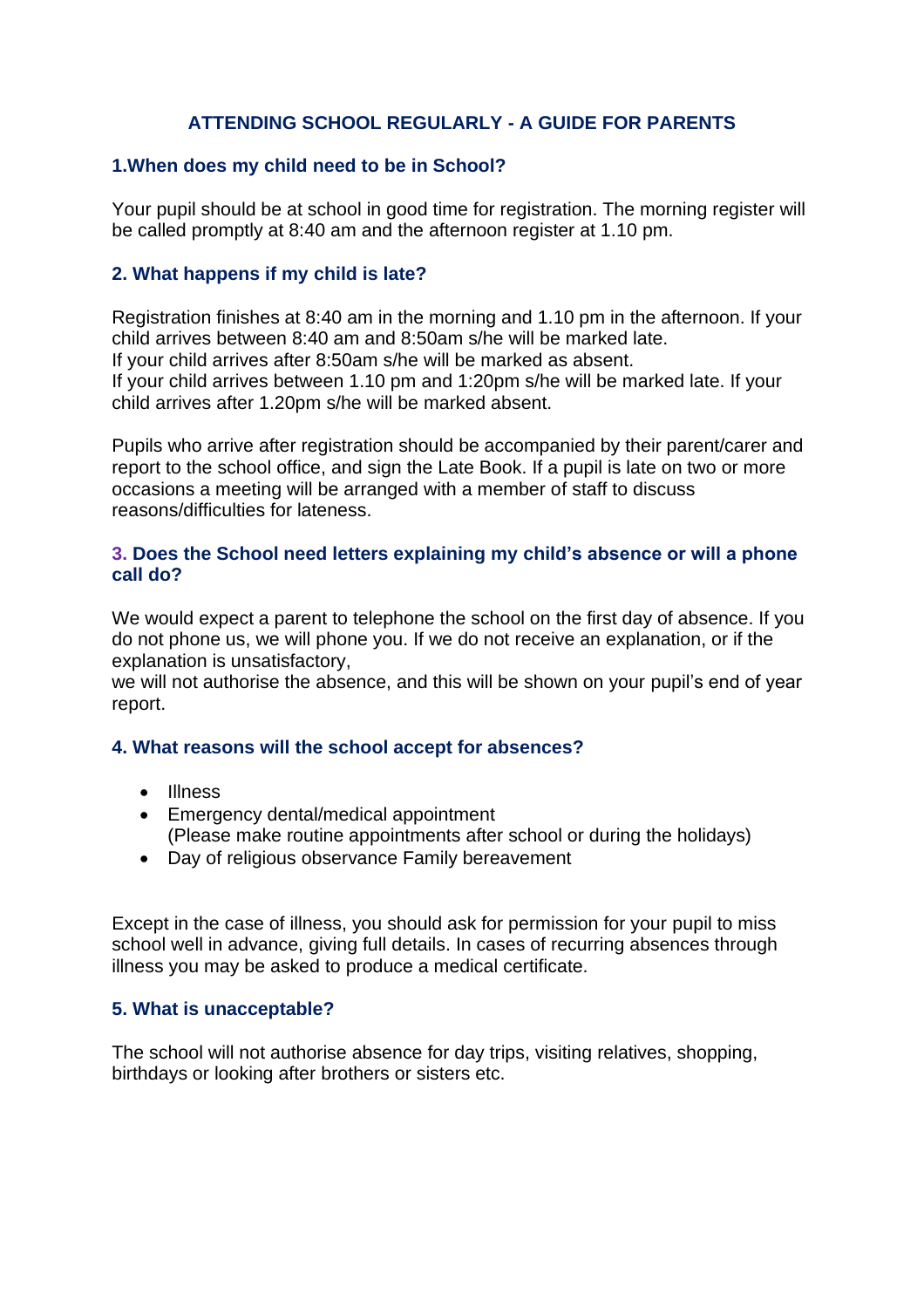# **ATTENDING SCHOOL REGULARLY - A GUIDE FOR PARENTS**

## **1.When does my child need to be in School?**

Your pupil should be at school in good time for registration. The morning register will be called promptly at 8:40 am and the afternoon register at 1.10 pm.

# **2. What happens if my child is late?**

Registration finishes at 8:40 am in the morning and 1.10 pm in the afternoon. If your child arrives between 8:40 am and 8:50am s/he will be marked late. If your child arrives after 8:50am s/he will be marked as absent. If your child arrives between 1.10 pm and 1:20pm s/he will be marked late. If your child arrives after 1.20pm s/he will be marked absent.

Pupils who arrive after registration should be accompanied by their parent/carer and report to the school office, and sign the Late Book. If a pupil is late on two or more occasions a meeting will be arranged with a member of staff to discuss reasons/difficulties for lateness.

#### **3. Does the School need letters explaining my child's absence or will a phone call do?**

We would expect a parent to telephone the school on the first day of absence. If you do not phone us, we will phone you. If we do not receive an explanation, or if the explanation is unsatisfactory,

we will not authorise the absence, and this will be shown on your pupil's end of year report.

#### **4. What reasons will the school accept for absences?**

- Illness
- Emergency dental/medical appointment (Please make routine appointments after school or during the holidays)
- Day of religious observance Family bereavement

Except in the case of illness, you should ask for permission for your pupil to miss school well in advance, giving full details. In cases of recurring absences through illness you may be asked to produce a medical certificate.

#### **5. What is unacceptable?**

The school will not authorise absence for day trips, visiting relatives, shopping, birthdays or looking after brothers or sisters etc.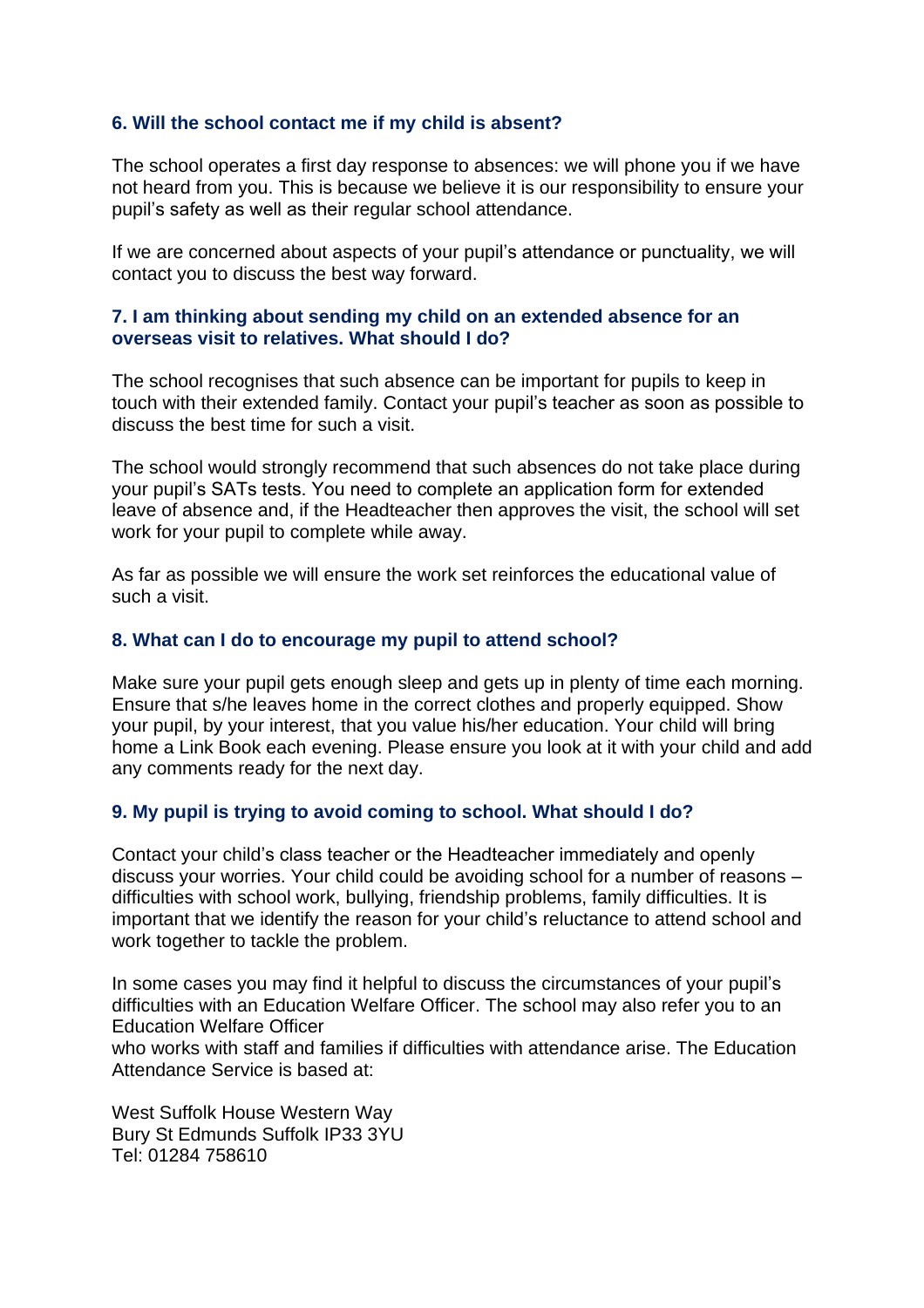## **6. Will the school contact me if my child is absent?**

The school operates a first day response to absences: we will phone you if we have not heard from you. This is because we believe it is our responsibility to ensure your pupil's safety as well as their regular school attendance.

If we are concerned about aspects of your pupil's attendance or punctuality, we will contact you to discuss the best way forward.

#### **7. I am thinking about sending my child on an extended absence for an overseas visit to relatives. What should I do?**

The school recognises that such absence can be important for pupils to keep in touch with their extended family. Contact your pupil's teacher as soon as possible to discuss the best time for such a visit.

The school would strongly recommend that such absences do not take place during your pupil's SATs tests. You need to complete an application form for extended leave of absence and, if the Headteacher then approves the visit, the school will set work for your pupil to complete while away.

As far as possible we will ensure the work set reinforces the educational value of such a visit.

#### **8. What can I do to encourage my pupil to attend school?**

Make sure your pupil gets enough sleep and gets up in plenty of time each morning. Ensure that s/he leaves home in the correct clothes and properly equipped. Show your pupil, by your interest, that you value his/her education. Your child will bring home a Link Book each evening. Please ensure you look at it with your child and add any comments ready for the next day.

#### **9. My pupil is trying to avoid coming to school. What should I do?**

Contact your child's class teacher or the Headteacher immediately and openly discuss your worries. Your child could be avoiding school for a number of reasons – difficulties with school work, bullying, friendship problems, family difficulties. It is important that we identify the reason for your child's reluctance to attend school and work together to tackle the problem.

In some cases you may find it helpful to discuss the circumstances of your pupil's difficulties with an Education Welfare Officer. The school may also refer you to an Education Welfare Officer

who works with staff and families if difficulties with attendance arise. The Education Attendance Service is based at:

West Suffolk House Western Way Bury St Edmunds Suffolk IP33 3YU Tel: 01284 758610